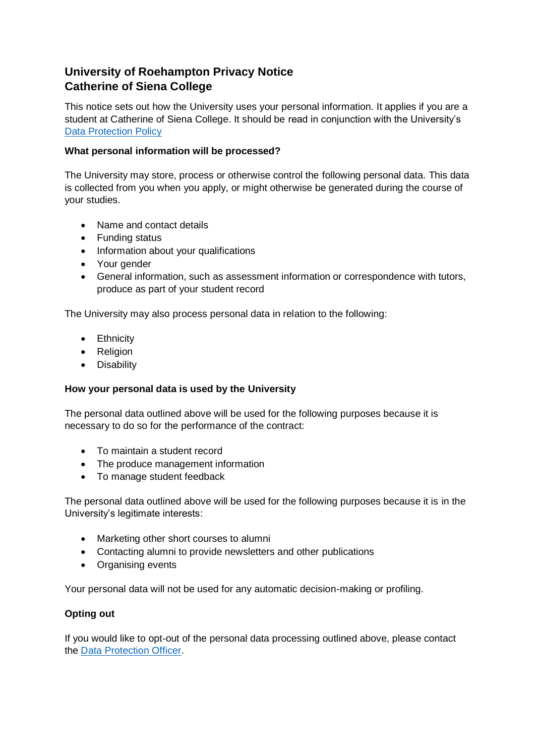# **University of Roehampton Privacy Notice Catherine of Siena College**

This notice sets out how the University uses your personal information. It applies if you are a student at Catherine of Siena College. It should be read in conjunction with the University's [Data Protection Policy](http://www.roehampton.ac.uk/corporate-information/policies)

### **What personal information will be processed?**

The University may store, process or otherwise control the following personal data. This data is collected from you when you apply, or might otherwise be generated during the course of your studies.

- Name and contact details
- Funding status
- Information about your qualifications
- Your gender
- General information, such as assessment information or correspondence with tutors, produce as part of your student record

The University may also process personal data in relation to the following:

- Ethnicity
- Religion
- Disability

#### **How your personal data is used by the University**

The personal data outlined above will be used for the following purposes because it is necessary to do so for the performance of the contract:

- To maintain a student record
- The produce management information
- To manage student feedback

The personal data outlined above will be used for the following purposes because it is in the University's legitimate interests:

- Marketing other short courses to alumni
- Contacting alumni to provide newsletters and other publications
- Organising events

Your personal data will not be used for any automatic decision-making or profiling.

#### **Opting out**

If you would like to opt-out of the personal data processing outlined above, please contact the [Data Protection Officer.](mailto:a.bainbridge@roehampton.ac.uk)